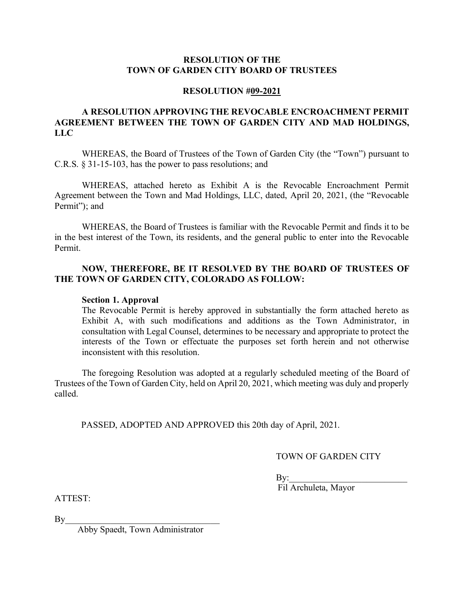### **RESOLUTION OF THE TOWN OF GARDEN CITY BOARD OF TRUSTEES**

#### **RESOLUTION #09-2021**

# **A RESOLUTION APPROVING THE REVOCABLE ENCROACHMENT PERMIT AGREEMENT BETWEEN THE TOWN OF GARDEN CITY AND MAD HOLDINGS, LLC**

WHEREAS, the Board of Trustees of the Town of Garden City (the "Town") pursuant to C.R.S. § 31-15-103, has the power to pass resolutions; and

WHEREAS, attached hereto as Exhibit A is the Revocable Encroachment Permit Agreement between the Town and Mad Holdings, LLC, dated, April 20, 2021, (the "Revocable Permit"); and

WHEREAS, the Board of Trustees is familiar with the Revocable Permit and finds it to be in the best interest of the Town, its residents, and the general public to enter into the Revocable Permit.

# **NOW, THEREFORE, BE IT RESOLVED BY THE BOARD OF TRUSTEES OF THE TOWN OF GARDEN CITY, COLORADO AS FOLLOW:**

#### **Section 1. Approval**

The Revocable Permit is hereby approved in substantially the form attached hereto as Exhibit A, with such modifications and additions as the Town Administrator, in consultation with Legal Counsel, determines to be necessary and appropriate to protect the interests of the Town or effectuate the purposes set forth herein and not otherwise inconsistent with this resolution.

The foregoing Resolution was adopted at a regularly scheduled meeting of the Board of Trustees of the Town of Garden City, held on April 20, 2021, which meeting was duly and properly called.

PASSED, ADOPTED AND APPROVED this 20th day of April, 2021.

TOWN OF GARDEN CITY

 $\mathrm{By:}$ 

Fil Archuleta, Mayor

ATTEST:

 $\mathrm{By}$ 

Abby Spaedt, Town Administrator